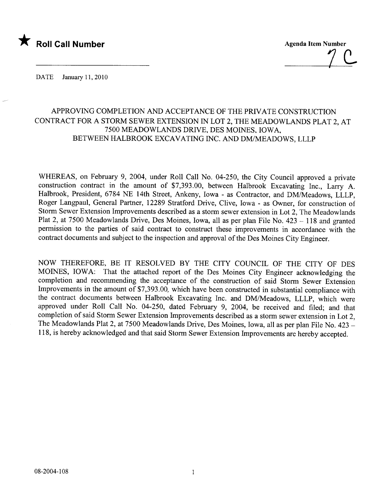

 $7 \leq$ 

DATE January 11, 2010

## APPROVING COMPLETION AND ACCEPTANCE OF THE PRIVATE CONSTRUCTION CONTRACT FOR A STORM SEWER EXTENSION IN LOT 2, THE MEADOWLANDS PLAT 2, AT 7500 MEADOWLANDS DRIVE, DES MOINES, IOWA, BETWEEN HALBROOK EXCAVATING INC. AND DM/MEADOWS, LLLP

WHEREAS, on February 9, 2004, under Roll Call No. 04-250, the City Council approved a private construction contract in the amount of \$7,393.00, between Halbrook Excavating Inc., Larry A. Halbrook, President, 6784 NE 14th Street, Ankeny, Iowa - as Contractor, and DM/Meadows, LLLP, Roger Langpaul, General Partner, 12289 Stratford Drive, Clive, Iowa - as Owner, for construction of Storm Sewer Extension Improvements described as a storm sewer extension in Lot 2, The Meadowlands Plat 2, at 7500 Meadowlands Drive, Des Moines, Iowa, all as per plan File No. 423 - 118 and granted permission to the parties of said contract to construct these improvements in accordance with the contract documents and subject to the inspection and approval of the Des Moines City Engineer.

NOW THEREFORE, BE IT RESOLVED BY THE CITY COUNCIL OF THE CITY OF DES MOINS, IOWA: That the attached report of the Des Moines City Engineer acknowledging the completion and recommending the acceptance of the construction of said Storm Sewer Extension Improvements in the amount of \$7,393.00, which have been constructed in substantial compliance with the contract documents between Halbrook Excavating Inc. and DM/Meadows, LLLP, which were approved under Roll Call No. 04-250, dated February 9, 2004, be received and filed; and that completion of said Storm Sewer Extension Improvements described as a storm sewer extension in Lot 2, The Meadowlands Plat 2, at 7500 Meadowlands Drive, Des Moines, Iowa, all as per plan File No. 423 -118, is hereby acknowledged and that said Storm Sewer Extension Improvements are hereby accepted.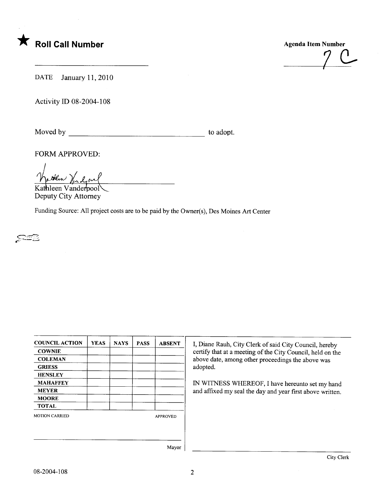



DATE January 11, 2010

Activity ID 08-2004-108

Moved by to adopt.

FORM APPROVED:

I them Vindon Kathleen Vanderpool

Deputy City Attorney

Funding Source: All project costs are to be paid by the Owner(s), Des Moines Art Center

 $\approx$ 

| <b>COUNCIL ACTION</b> | <b>YEAS</b> | <b>NAYS</b> | <b>PASS</b>     | <b>ABSENT</b> |
|-----------------------|-------------|-------------|-----------------|---------------|
| <b>COWNIE</b>         |             |             |                 |               |
| <b>COLEMAN</b>        |             |             |                 |               |
| <b>GRIESS</b>         |             |             |                 |               |
| <b>HENSLEY</b>        |             |             |                 |               |
| <b>MAHAFFEY</b>       |             |             |                 |               |
| <b>MEYER</b>          |             |             |                 |               |
| <b>MOORE</b>          |             |             |                 |               |
| <b>TOTAL</b>          |             |             |                 |               |
| <b>MOTION CARRIED</b> |             |             | <b>APPROVED</b> |               |
|                       |             |             |                 |               |
|                       |             |             |                 | Mayor         |

I, Diane Rauh, City Clerk of said City Council, hereby certify that at a meeting of the City Council, held on the above date, among other proceedings the above was adopted.

IN WITNESS WHEREOF, I have hereunto set my hand and affixed my seal the day and year first above written.

Mayor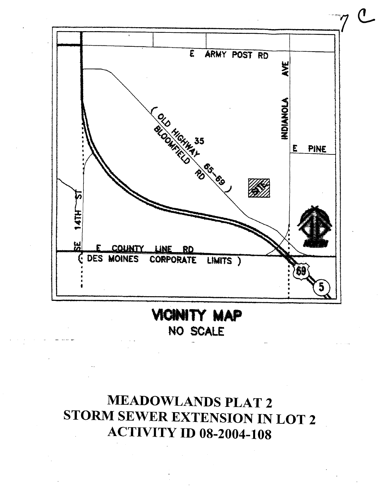

NO SCALE

## **MEADOWLANDS PLAT 2** STORM SEWER EXTENSION IN LOT 2 **ACTIVITY ID 08-2004-108**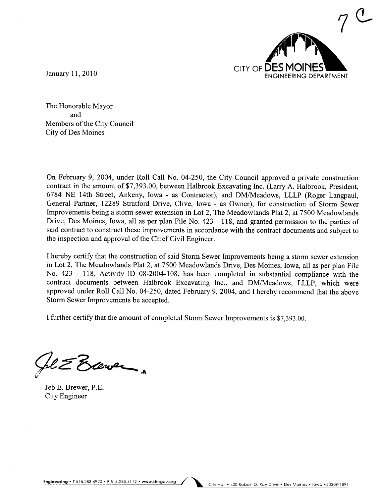

The Honorable Mayor and Members of the City Council City of Des Moines

On February 9, 2004, under Roll Call No. 04-250, the City Council approved a private construction contract in the amount of \$7,393.00, between Halbrook Excavating Inc. (Larry A. Halbrook, President, 6784 NE 14th Street, Ankeny, Iowa - as Contractor), and DM/Meadows, LLLP (Roger Langpaul, General Partner, 12289 Stratford Drive, Clive, Iowa - as Owner), for construction of Storm Sewer Improvements being a storm sewer extension in Lot 2, The Meadowlands Plat 2, at 7500 Meadowlands Drive, Des Moines, Iowa, all as per plan File No. 423 - 118, and granted permission to the paries of said contract to construct these improvements in accordance with the contract documents and subject to the inspection and approval of the Chief Civil Engineer.

I hereby certify that the construction of said Storm Sewer Improvements being a storm sewer extension in Lot 2, The Meadowlands Plat 2, at 7500 Meadowlands Drive, Des Moines, Iowa, all as per plan File No. 423 - 118, Activity ID 08-2004-108, has been completed in substantial compliance with the contract documents between Halbrook Excavating Inc., and DM/Meadows, LLLP, which were approved under Roll Call No. 04-250, dated February 9, 2004, and I hereby recommend that the above Storm Sewer Improvements be accepted.

I further certify that the amount of completed Storm Sewer Improvements is \$7,393.00.

~z'&~..

Jeb E. Brewer, P.E. City Engineer